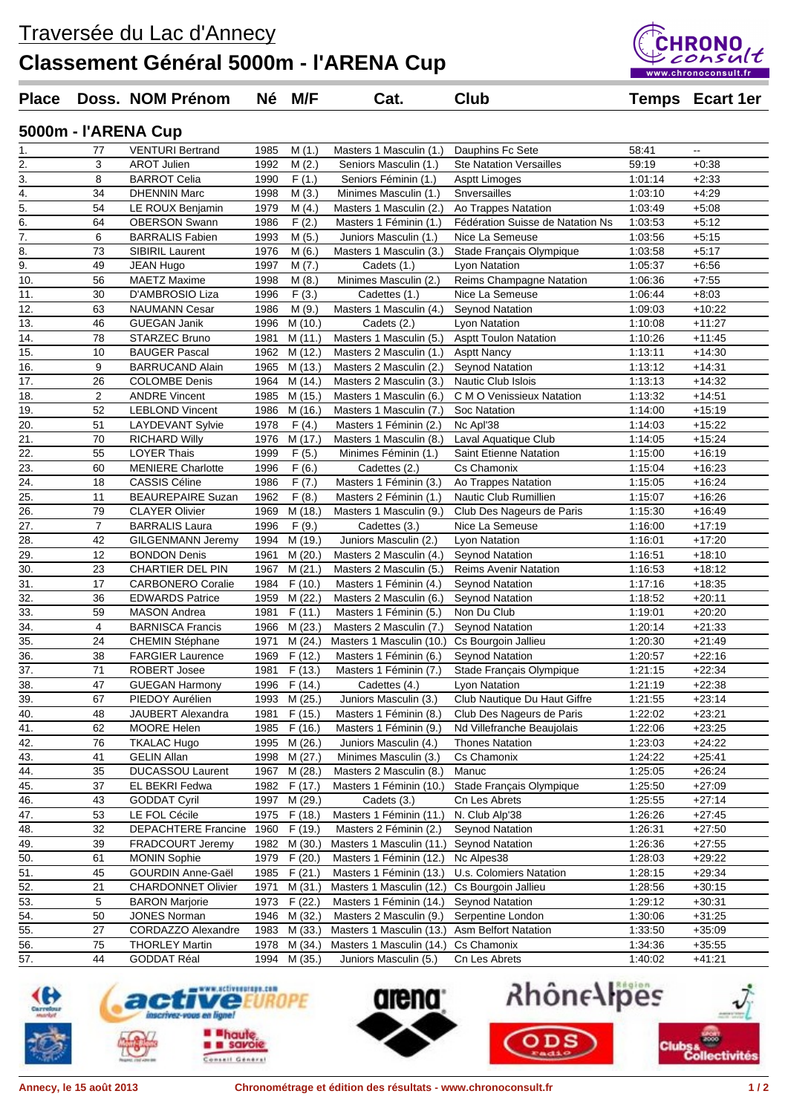Traversée du Lac d'Annecy **Classement Général 5000m - l'ARENA Cup**



| <b>Place</b>      |                | Doss. NOM Prénom          |      | Né M/F             | Cat.                     | <b>Club</b>                      |         | <b>Temps</b> Ecart 1er |
|-------------------|----------------|---------------------------|------|--------------------|--------------------------|----------------------------------|---------|------------------------|
|                   |                | 5000m - l'ARENA Cup       |      |                    |                          |                                  |         |                        |
| 1.                | 77             | <b>VENTURI Bertrand</b>   | 1985 | M(1.)              | Masters 1 Masculin (1.)  | Dauphins Fc Sete                 | 58:41   |                        |
| 2.                | 3              | <b>AROT Julien</b>        | 1992 | M(2.)              | Seniors Masculin (1.)    | <b>Ste Natation Versailles</b>   | 59:19   | $+0.38$                |
| 3.                | 8              | <b>BARROT Celia</b>       | 1990 | F(1.)              | Seniors Féminin (1.)     | <b>Asptt Limoges</b>             | 1:01:14 | $+2:33$                |
| 4.                | 34             | <b>DHENNIN Marc</b>       | 1998 | M(3.)              | Minimes Masculin (1.)    | Snversailles                     | 1:03:10 | $+4:29$                |
| 5.                | 54             | LE ROUX Benjamin          | 1979 | M(4.)              | Masters 1 Masculin (2.)  | Ao Trappes Natation              | 1:03:49 | $+5:08$                |
| 6.                | 64             | <b>OBERSON Swann</b>      | 1986 | F(2.)              | Masters 1 Féminin (1.)   | Fédération Suisse de Natation Ns | 1:03:53 | $+5:12$                |
| 7.                | 6              | <b>BARRALIS Fabien</b>    | 1993 | M(5.)              | Juniors Masculin (1.)    | Nice La Semeuse                  | 1:03:56 | $+5:15$                |
| 8.                | 73             | SIBIRIL Laurent           | 1976 | M(6.)              | Masters 1 Masculin (3.)  | Stade Français Olympique         | 1:03:58 | $+5:17$                |
| 9.                | 49             | <b>JEAN Hugo</b>          | 1997 | M(7.)              | Cadets (1.)              | Lyon Natation                    | 1:05:37 | $+6:56$                |
| 10.               | 56             | <b>MAETZ Maxime</b>       | 1998 | M(8.)              | Minimes Masculin (2.)    | Reims Champagne Natation         | 1:06:36 | $+7:55$                |
| 11.               | 30             | D'AMBROSIO Liza           | 1996 | $\overline{F}(3.)$ | Cadettes (1.)            | Nice La Semeuse                  | 1:06:44 | $+8:03$                |
| 12.               | 63             | <b>NAUMANN Cesar</b>      | 1986 | M(9.)              | Masters 1 Masculin (4.)  | <b>Seynod Natation</b>           | 1:09:03 | $+10:22$               |
| 13.               | 46             | <b>GUEGAN Janik</b>       | 1996 | M(10.)             | Cadets (2.)              | Lyon Natation                    | 1:10:08 | $+11:27$               |
| 14.               | 78             | STARZEC Bruno             | 1981 | M(11.)             | Masters 1 Masculin (5.)  | <b>Asptt Toulon Natation</b>     | 1:10:26 | $+11:45$               |
| 15.               | 10             | <b>BAUGER Pascal</b>      | 1962 | M (12.)            | Masters 2 Masculin (1.)  | <b>Asptt Nancy</b>               | 1:13:11 | $+14:30$               |
| 16.               | 9              | <b>BARRUCAND Alain</b>    | 1965 | M (13.)            | Masters 2 Masculin (2.)  | <b>Seynod Natation</b>           | 1:13:12 | $+14.31$               |
| 17.               | 26             | <b>COLOMBE Denis</b>      | 1964 | M (14.)            | Masters 2 Masculin (3.)  | <b>Nautic Club Islois</b>        | 1:13:13 | $+14:32$               |
| 18.               | $\overline{2}$ | <b>ANDRE Vincent</b>      | 1985 | M (15.)            | Masters 1 Masculin (6.)  | C M O Venissieux Natation        | 1:13:32 | $+14.51$               |
| 19.               | 52             | <b>LEBLOND Vincent</b>    | 1986 | M (16.)            | Masters 1 Masculin (7.)  | <b>Soc Natation</b>              | 1:14:00 | $+15.19$               |
| $\overline{20}$ . | 51             | <b>LAYDEVANT Sylvie</b>   | 1978 | F(4.)              | Masters 1 Féminin (2.)   | Nc Apl'38                        | 1:14:03 | $+15:22$               |
| 21.               | 70             | <b>RICHARD Willy</b>      | 1976 | M (17.)            | Masters 1 Masculin (8.)  | Laval Aquatique Club             | 1:14:05 | $+15:24$               |
| 22.               | 55             | <b>LOYER Thais</b>        | 1999 | F(5.)              | Minimes Féminin (1.)     | <b>Saint Etienne Natation</b>    | 1:15:00 | $+16:19$               |
| $\overline{23}$ . | 60             | <b>MENIERE Charlotte</b>  | 1996 | F(6.)              | Cadettes (2.)            | Cs Chamonix                      | 1:15:04 | $+16.23$               |
| 24.               | 18             | <b>CASSIS Céline</b>      | 1986 | F(7.)              | Masters 1 Féminin (3.)   | Ao Trappes Natation              | 1:15:05 | $+16.24$               |
| 25.               | 11             | <b>BEAUREPAIRE Suzan</b>  | 1962 | F(8.)              | Masters 2 Féminin (1.)   | Nautic Club Rumillien            | 1:15:07 | $+16.26$               |
| 26.               | 79             | <b>CLAYER Olivier</b>     | 1969 | M (18.)            | Masters 1 Masculin (9.)  | Club Des Nageurs de Paris        | 1:15:30 | $+16.49$               |
| 27.               | 7              | <b>BARRALIS Laura</b>     | 1996 | F(9.)              | Cadettes (3.)            | Nice La Semeuse                  | 1:16:00 | $+17:19$               |
| 28.               | 42             | <b>GILGENMANN Jeremy</b>  | 1994 | M (19.)            | Juniors Masculin (2.)    | Lyon Natation                    | 1:16:01 | $+17:20$               |
| 29.               | 12             | <b>BONDON Denis</b>       | 1961 | M(20.)             | Masters 2 Masculin (4.)  | <b>Seynod Natation</b>           | 1:16:51 | $+18.10$               |
| 30.               | 23             | <b>CHARTIER DEL PIN</b>   | 1967 | M(21.)             | Masters 2 Masculin (5.)  | <b>Reims Avenir Natation</b>     | 1:16:53 | $+18:12$               |
| $\overline{31}$ . | 17             | <b>CARBONERO Coralie</b>  | 1984 | F(10.)             | Masters 1 Féminin (4.)   | Seynod Natation                  | 1:17:16 | $+18.35$               |
| 32.               | 36             | <b>EDWARDS Patrice</b>    | 1959 | M(22.)             | Masters 2 Masculin (6.)  | <b>Seynod Natation</b>           | 1:18:52 | $+20:11$               |
| 33.               | 59             | <b>MASON Andrea</b>       | 1981 | F(11.)             | Masters 1 Féminin (5.)   | Non Du Club                      | 1:19:01 | $+20:20$               |
| $\overline{34}$ . | 4              | <b>BARNISCA Francis</b>   | 1966 | M(23.)             | Masters 2 Masculin (7.)  | Seynod Natation                  | 1:20:14 | $+21:33$               |
| 35.               | 24             | <b>CHEMIN Stéphane</b>    | 1971 | M(24.)             | Masters 1 Masculin (10.) | Cs Bourgoin Jallieu              | 1:20:30 | $+21:49$               |
| 36.               | 38             | <b>FARGIER Laurence</b>   | 1969 | F(12.)             | Masters 1 Féminin (6.)   | <b>Seynod Natation</b>           | 1:20:57 | $+22:16$               |
| 37.               | 71             | ROBERT Josee              | 1981 | F(13.)             | Masters 1 Féminin (7.)   | Stade Français Olympique         | 1:21:15 | $+22:34$               |
| 38.               | 47             | GUEGAN Harmony            | 1996 | F (14.)            | Cadettes (4.)            | Lyon Natation                    | 1:21:19 | +22:38                 |
| 39.               | 67             | PIEDOY Aurélien           | 1993 | M(25.)             | Juniors Masculin (3.)    | Club Nautique Du Haut Giffre     | 1:21:55 | $+23:14$               |
| 40.               | 48             | JAUBERT Alexandra         | 1981 | F(15.)             | Masters 1 Féminin (8.)   | Club Des Nageurs de Paris        | 1:22:02 | $+23.21$               |
| 41.               | 62             | MOORE Helen               | 1985 | F(16.)             | Masters 1 Féminin (9.)   | Nd Villefranche Beaujolais       | 1:22:06 | $+23:25$               |
| 42.               | 76             | <b>TKALAC Hugo</b>        | 1995 | M (26.)            | Juniors Masculin (4.)    | <b>Thones Natation</b>           | 1:23:03 | $+24:22$               |
| 43.               | 41             | <b>GELIN Allan</b>        | 1998 | M (27.)            | Minimes Masculin (3.)    | Cs Chamonix                      | 1:24:22 | $+25:41$               |
| 44.               | 35             | <b>DUCASSOU Laurent</b>   | 1967 | M (28.)            | Masters 2 Masculin (8.)  | Manuc                            | 1:25:05 | $+26:24$               |
| 45.               | 37             | EL BEKRI Fedwa            | 1982 | F (17.)            | Masters 1 Féminin (10.)  | Stade Français Olympique         | 1:25:50 | $+27:09$               |
| 46.               | 43             | <b>GODDAT Cyril</b>       | 1997 | M (29.)            | Cadets (3.)              | Cn Les Abrets                    | 1:25:55 | $+27:14$               |
| 47.               | 53             | LE FOL Cécile             | 1975 | F(18.)             | Masters 1 Féminin (11.)  | N. Club Alp'38                   | 1:26:26 | $+27:45$               |
| 48.               | 32             | DEPACHTERE Francine       | 1960 | F(19.)             | Masters 2 Féminin (2.)   | <b>Seynod Natation</b>           | 1:26:31 | $+27:50$               |
| 49.               | 39             | FRADCOURT Jeremy          | 1982 | M (30.)            | Masters 1 Masculin (11.) | Seynod Natation                  | 1:26:36 | $+27:55$               |
| 50.               | 61             | <b>MONIN Sophie</b>       | 1979 | F(20.)             | Masters 1 Féminin (12.)  | Nc Alpes38                       | 1:28:03 | $+29:22$               |
| 51.               | 45             | <b>GOURDIN Anne-Gaël</b>  | 1985 | F(21.)             | Masters 1 Féminin (13.)  | U.s. Colomiers Natation          | 1:28:15 | $+29:34$               |
| 52.               | 21             | <b>CHARDONNET Olivier</b> | 1971 | M (31.)            | Masters 1 Masculin (12.) | Cs Bourgoin Jallieu              | 1:28:56 | $+30:15$               |
| 53.               | 5              | <b>BARON Marjorie</b>     | 1973 | F(22.)             | Masters 1 Féminin (14.)  | Seynod Natation                  | 1:29:12 | $+30.31$               |
| 54.               | 50             | <b>JONES Norman</b>       | 1946 | M (32.)            | Masters 2 Masculin (9.)  | Serpentine London                | 1:30:06 | $+31:25$               |
| 55.               | 27             | <b>CORDAZZO Alexandre</b> | 1983 | M (33.)            | Masters 1 Masculin (13.) | Asm Belfort Natation             | 1:33:50 | $+35:09$               |
| 56.               | 75             | <b>THORLEY Martin</b>     | 1978 | M (34.)            | Masters 1 Masculin (14.) | Cs Chamonix                      | 1:34:36 | $+35:55$               |
| 57.               | 44             | GODDAT Réal               | 1994 | M (35.)            | Juniors Masculin (5.)    | Cn Les Abrets                    | 1:40:02 | $+41:21$               |